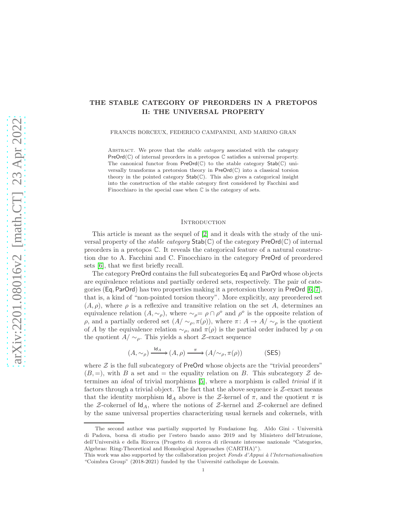# THE STABLE CATEGORY OF PREORDERS IN A PRETOPOS II: THE UNIVERSAL PROPERTY

FRANCIS BORCEUX, FEDERICO CAMPANINI, AND MARINO GRAN

ABSTRACT. We prove that the *stable category* associated with the category PreOrd(C) of internal preorders in a pretopos C satisfies a universal property. The canonical functor from  $PreOrd(\mathbb{C})$  to the stable category  $Stab(\mathbb{C})$  universally transforms a pretorsion theory in  $PreOrd(\mathbb{C})$  into a classical torsion theory in the pointed category  $\text{Stab}(\mathbb{C})$ . This also gives a categorical insight into the construction of the stable category first considered by Facchini and Finocchiaro in the special case when  $\mathbb C$  is the category of sets.

### **INTRODUCTION**

This article is meant as the sequel of [\[2\]](#page-20-0) and it deals with the study of the universal property of the *stable category*  $\text{Stab}(\mathbb{C})$  of the category  $\text{PreOrd}(\mathbb{C})$  of internal preorders in a pretopos C. It reveals the categorical feature of a natural construction due to A. Facchini and C. Finocchiaro in the category PreOrd of preordered sets [\[6\]](#page-20-1), that we first briefly recall.

The category PreOrd contains the full subcategories Eq and ParOrd whose objects are equivalence relations and partially ordered sets, respectively. The pair of categories (Eq, ParOrd) has two properties making it a pretorsion theory in PreOrd [\[6,](#page-20-1) [7\]](#page-20-2), that is, a kind of "non-pointed torsion theory". More explicitly, any preordered set  $(A, \rho)$ , where  $\rho$  is a reflexive and transitive relation on the set A, determines an equivalence relation  $(A, \sim_{\rho})$ , where  $\sim_{\rho} = \rho \cap \rho^{\circ}$  and  $\rho^{\circ}$  is the opposite relation of  $ρ$ , and a partially ordered set  $(A/ ∼<sub>ρ</sub>, π(ρ))$ , where π:  $A → A/ ∼<sub>ρ</sub>$  is the quotient of A by the equivalence relation  $\sim_{\rho}$ , and  $\pi(\rho)$  is the partial order induced by  $\rho$  on the quotient  $A/\sim_{\rho}$ . This yields a short Z-exact sequence

$$
(A, \sim_{\rho}) \xrightarrow{\text{Id}_A} (A, \rho) \xrightarrow{\pi} (A/\sim_{\rho}, \pi(\rho))
$$
 (SES)

where  $Z$  is the full subcategory of PreOrd whose objects are the "trivial preorders"  $(B, =)$ , with B a set and  $=$  the equality relation on B. This subcategory  $\mathcal Z$  determines an ideal of trivial morphisms [\[5\]](#page-20-3), where a morphism is called trivial if it factors through a trivial object. The fact that the above sequence is  $Z$ -exact means that the identity morphism  $\mathsf{Id}_A$  above is the Z-kernel of  $\pi$ , and the quotient  $\pi$  is the Z-cokernel of  $\mathsf{Id}_A$ , where the notions of Z-kernel and Z-cokernel are defined by the same universal properties characterizing usual kernels and cokernels, with

The second author was partially supported by Fondazione Ing. Aldo Gini - Università di Padova, borsa di studio per l'estero bando anno 2019 and by Ministero dell'Istruzione, dell'Universit`a e della Ricerca (Progetto di ricerca di rilevante interesse nazionale "Categories, Algebras: Ring-Theoretical and Homological Approaches (CARTHA)").

This work was also supported by the collaboration project Fonds d'Appui à l'Internationalisation "Coimbra Group" (2018-2021) funded by the Université catholique de Louvain.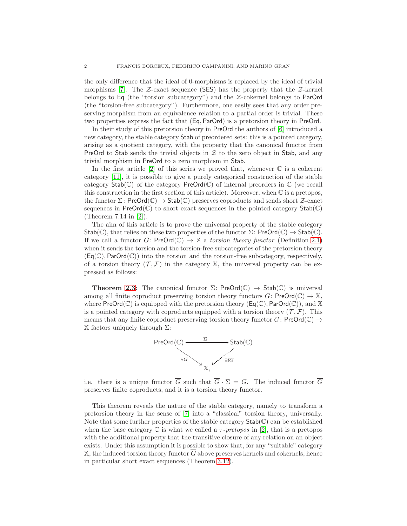the only difference that the ideal of 0-morphisms is replaced by the ideal of trivial morphisms [\[7\]](#page-20-2). The  $\mathcal{Z}\text{-exact}$  sequence (SES) has the property that the  $\mathcal{Z}\text{-}{k}$ belongs to Eq (the "torsion subcategory") and the Z-cokernel belongs to ParOrd (the "torsion-free subcategory"). Furthermore, one easily sees that any order preserving morphism from an equivalence relation to a partial order is trivial. These two properties express the fact that (Eq, ParOrd) is a pretorsion theory in PreOrd.

In their study of this pretorsion theory in PreOrd the authors of [\[6\]](#page-20-1) introduced a new category, the stable category Stab of preordered sets: this is a pointed category, arising as a quotient category, with the property that the canonical functor from PreOrd to Stab sends the trivial objects in  $\mathcal Z$  to the zero object in Stab, and any trivial morphism in PreOrd to a zero morphism in Stab.

In the first article  $[2]$  of this series we proved that, whenever  $\mathbb C$  is a coherent category [\[11\]](#page-21-0), it is possible to give a purely categorical construction of the stable category  $Stab(\mathbb{C})$  of the category  $PreOrd(\mathbb{C})$  of internal preorders in  $\mathbb{C}$  (we recall this construction in the first section of this article). Moreover, when  $\mathbb C$  is a pretopos, the functor  $\Sigma$ : PreOrd(C)  $\rightarrow$  Stab(C) preserves coproducts and sends short  $\mathcal{Z}$ -exact sequences in PreOrd $(\mathbb{C})$  to short exact sequences in the pointed category  $\text{Stab}(\mathbb{C})$ (Theorem 7.14 in [\[2\]](#page-20-0)).

The aim of this article is to prove the universal property of the stable category  $Stab(\mathbb{C})$ , that relies on these two properties of the functor  $\Sigma$ : PreOrd $(\mathbb{C}) \to Stab(\mathbb{C})$ . If we call a functor  $G: \mathsf{PreOrd}(\mathbb{C}) \to \mathbb{X}$  a torsion theory functor (Definition [2.1\)](#page-9-0) when it sends the torsion and the torsion-free subcategories of the pretorsion theory  $(\textsf{Eq}(\mathbb{C}), \textsf{ParOrd}(\mathbb{C}))$  into the torsion and the torsion-free subcategory, respectively, of a torsion theory  $(\mathcal{T}, \mathcal{F})$  in the category X, the universal property can be expressed as follows:

**Theorem [2.3:](#page-10-0)** The canonical functor  $\Sigma$ : PreOrd( $\mathbb{C}$ )  $\rightarrow$  Stab( $\mathbb{C}$ ) is universal among all finite coproduct preserving torsion theory functors  $G: \text{PreOrd}(\mathbb{C}) \to \mathbb{X}$ , where  $PreOrd(\mathbb{C})$  is equipped with the pretorsion theory  $(\mathsf{Eq}(\mathbb{C}), ParOrd(\mathbb{C}))$ , and X is a pointed category with coproducts equipped with a torsion theory  $(\mathcal{T}, \mathcal{F})$ . This means that any finite coproduct preserving torsion theory functor  $G:$  PreOrd( $\mathbb{C}$ )  $\rightarrow$ X factors uniquely through Σ:



i.e. there is a unique functor  $\overline{G}$  such that  $\overline{G} \cdot \Sigma = G$ . The induced functor  $\overline{G}$ preserves finite coproducts, and it is a torsion theory functor.

This theorem reveals the nature of the stable category, namely to transform a pretorsion theory in the sense of [\[7\]](#page-20-2) into a "classical" torsion theory, universally. Note that some further properties of the stable category  $\textsf{Stab}(\mathbb{C})$  can be established when the base category C is what we called a  $\tau$ -pretopos in [\[2\]](#page-20-0), that is a pretopos with the additional property that the transitive closure of any relation on an object exists. Under this assumption it is possible to show that, for any "suitable" category  $X$ , the induced torsion theory functor  $G$  above preserves kernels and cokernels, hence in particular short exact sequences (Theorem [3.12\)](#page-20-4).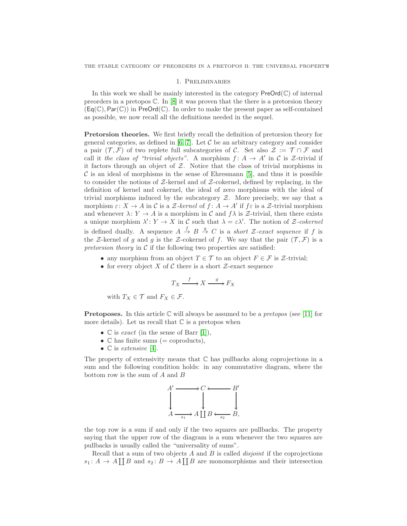#### 1. Preliminaries

In this work we shall be mainly interested in the category  $\mathsf{PreOrd}(\mathbb{C})$  of internal preorders in a pretopos  $\mathbb{C}$ . In  $[8]$  it was proven that the there is a pretorsion theory  $(Eq(\mathbb{C}), Par(\mathbb{C}))$  in PreOrd $(\mathbb{C})$ . In order to make the present paper as self-contained as possible, we now recall all the definitions needed in the sequel.

Pretorsion theories. We first briefly recall the definition of pretorsion theory for general categories, as defined in  $[6, 7]$  $[6, 7]$ . Let C be an arbitrary category and consider a pair ( $\mathcal{T}, \mathcal{F}$ ) of two replete full subcategories of C. Set also  $\mathcal{Z} := \mathcal{T} \cap \mathcal{F}$  and call it the class of "trivial objects". A morphism  $f: A \rightarrow A'$  in C is Z-trivial if it factors through an object of  $Z$ . Notice that the class of trivial morphisms in  $\mathcal C$  is an ideal of morphisms in the sense of Ehresmann [\[5\]](#page-20-3), and thus it is possible to consider the notions of  $Z$ -kernel and of  $Z$ -cokernel, defined by replacing, in the definition of kernel and cokernel, the ideal of zero morphisms with the ideal of trivial morphisms induced by the subcategory  $Z$ . More precisely, we say that a morphism  $\varepsilon: X \to A$  in C is a Z-kernel of  $f: A \to A'$  if  $f \varepsilon$  is a Z-trivial morphism and whenever  $\lambda: Y \to A$  is a morphism in C and  $f\lambda$  is Z-trivial, then there exists a unique morphism  $\lambda' : Y \to X$  in C such that  $\lambda = \varepsilon \lambda'$ . The notion of Z-cokernel is defined dually. A sequence  $A \stackrel{f}{\to} B \stackrel{g}{\to} C$  is a short Z-exact sequence if f is the Z-kernel of g and g is the Z-cokernel of f. We say that the pair  $(\mathcal{T}, \mathcal{F})$  is a pretorsion theory in  $\mathcal C$  if the following two properties are satisfied:

- any morphism from an object  $T \in \mathcal{T}$  to an object  $F \in \mathcal{F}$  is  $\mathcal{Z}$ -trivial;
- for every object X of C there is a short  $\mathcal{Z}$ -exact sequence

$$
T_X \xrightarrow{f} X \xrightarrow{g} F_X
$$

with  $T_X \in \mathcal{T}$  and  $F_X \in \mathcal{F}$ .

**Pretoposes.** In this article  $\mathbb C$  will always be assumed to be a *pretopos* (see [\[11\]](#page-21-0) for more details). Let us recall that  $\mathbb C$  is a pretopos when

- $\mathbb{C}$  is *exact* (in the sense of Barr [\[1\]](#page-20-5)),
- $\mathbb{C}$  has finite sums (= coproducts),
- $\mathbb{C}$  is extensive [\[4\]](#page-20-6).

The property of extensivity means that  $\mathbb C$  has pullbacks along coprojections in a sum and the following condition holds: in any commutative diagram, where the bottom row is the sum of A and B



the top row is a sum if and only if the two squares are pullbacks. The property saying that the upper row of the diagram is a sum whenever the two squares are pullbacks is usually called the "universality of sums".

Recall that a sum of two objects  $A$  and  $B$  is called *disjoint* if the coprojections  $s_1: A \to A \coprod B$  and  $s_2: B \to A \coprod B$  are monomorphisms and their intersection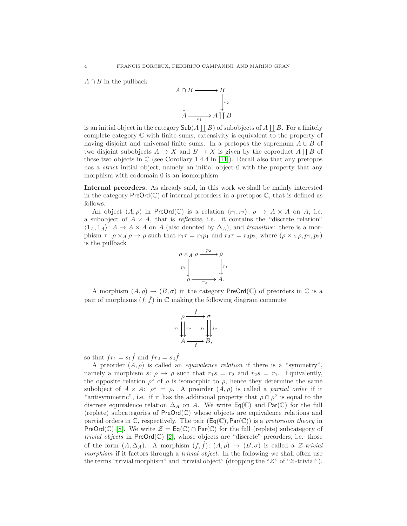$A \cap B$  in the pullback



is an initial object in the category  $\mathsf{Sub}(A \coprod B)$  of subobjects of  $A \coprod B$ . For a finitely complete category C with finite sums, extensivity is equivalent to the property of having disjoint and universal finite sums. In a pretopos the supremum  $A \cup B$  of two disjoint subobjects  $A \to X$  and  $B \to X$  is given by the coproduct  $A \coprod B$  of these two objects in  $\mathbb C$  (see Corollary 1.4.4 in [\[11\]](#page-21-0)). Recall also that any pretopos has a *strict* initial object, namely an initial object 0 with the property that any morphism with codomain 0 is an isomorphism.

Internal preorders. As already said, in this work we shall be mainly interested in the category  $PreOrd(\mathbb{C})$  of internal preorders in a pretopos  $\mathbb{C}$ , that is defined as follows.

An object  $(A, \rho)$  in PreOrd(C) is a relation  $\langle r_1, r_2 \rangle: \rho \to A \times A$  on A, i.e. a subobject of  $A \times A$ , that is *reflexive*, i.e. it contains the "discrete relation"  $\langle 1_A, 1_A \rangle: A \to A \times A$  on A (also denoted by  $\Delta_A$ ), and transitive: there is a morphism  $\tau: \rho \times_A \rho \to \rho$  such that  $r_1\tau = r_1p_1$  and  $r_2\tau = r_2p_2$ , where  $(\rho \times_A \rho, p_1, p_2)$ is the pullback



A morphism  $(A, \rho) \to (B, \sigma)$  in the category PreOrd(C) of preorders in C is a pair of morphisms  $(f, \hat{f})$  in  $\mathbb C$  making the following diagram commute

$$
r_1 \downarrow \qquad r_2 \qquad s_1 \downarrow \qquad s_2
$$
\n
$$
A \xrightarrow{f} B,
$$

so that  $fr_1 = s_1 \hat{f}$  and  $fr_2 = s_2 \hat{f}$ .

A preorder  $(A, \rho)$  is called an *equivalence relation* if there is a "symmetry", namely a morphism  $s: \rho \to \rho$  such that  $r_1s = r_2$  and  $r_2s = r_1$ . Equivalently, the opposite relation  $\rho^{\circ}$  of  $\rho$  is isomorphic to  $\rho$ , hence they determine the same subobject of  $A \times A$ :  $\rho^{\circ} = \rho$ . A preorder  $(A, \rho)$  is called a partial order if it "antisymmetric", i.e. if it has the additional property that  $\rho \cap \rho^{\circ}$  is equal to the discrete equivalence relation  $\Delta_A$  on A. We write  $\mathsf{Eq}(\mathbb{C})$  and  $\mathsf{Par}(\mathbb{C})$  for the full (replete) subcategories of PreOrd(C) whose objects are equivalence relations and partial orders in  $\mathbb C$ , respectively. The pair  $(\mathsf{Eq}(\mathbb C), \mathsf{Par}(\mathbb C))$  is a pretorsion theory in PreOrd(C) [\[8\]](#page-21-1). We write  $\mathcal{Z} = \mathsf{Eq}(\mathbb{C}) \cap \mathsf{Par}(\mathbb{C})$  for the full (replete) subcategory of *trivial objects* in Pre $Ord(\mathbb{C})$  [\[2\]](#page-20-0), whose objects are "discrete" preorders, i.e. those of the form  $(A, \Delta_A)$ . A morphism  $(f, \hat{f})$ :  $(A, \rho) \rightarrow (B, \sigma)$  is called a Z-trivial morphism if it factors through a *trivial object*. In the following we shall often use the terms "trivial morphism" and "trivial object" (dropping the "Z" of "Z-trivial").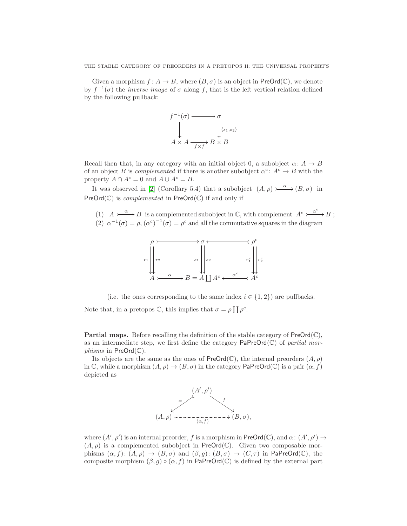THE STABLE CATEGORY OF PREORDERS IN A PRETOPOS II: THE UNIVERSAL PROPERTY

Given a morphism  $f: A \to B$ , where  $(B, \sigma)$  is an object in PreOrd(C), we denote by  $f^{-1}(\sigma)$  the *inverse image* of  $\sigma$  along f, that is the left vertical relation defined by the following pullback:



Recall then that, in any category with an initial object 0, a subobject  $\alpha: A \rightarrow B$ of an object B is complemented if there is another subobject  $\alpha^c: A^c \to B$  with the property  $A \cap A^c = 0$  and  $A \cup A^c = B$ .

It was observed in [\[2\]](#page-20-0) (Corollary 5.4) that a subobject  $(A, \rho) \rightarrow \rightarrow (B, \sigma)$  in  $PreOrd(\mathbb{C})$  is *complemented* in  $PreOrd(\mathbb{C})$  if and only if

(1)  $A \rightarrow \rightarrow B$  is a complemented subobject in C, with complement  $A^c \rightarrow \rightarrow B$ ; (2)  $\alpha^{-1}(\sigma) = \rho$ ,  $(\alpha^c)^{-1}(\sigma) = \rho^c$  and all the commutative squares in the diagram



(i.e. the ones corresponding to the same index  $i \in \{1,2\}$ ) are pullbacks. Note that, in a pretopos  $\mathbb{C}$ , this implies that  $\sigma = \rho \coprod \rho^c$ .

**Partial maps.** Before recalling the definition of the stable category of  $\text{PreOrd}(\mathbb{C})$ , as an intermediate step, we first define the category  $\mathsf{PaPreOrd}(\mathbb{C})$  of partial mor*phisms* in  $PreOrd(\mathbb{C})$ .

Its objects are the same as the ones of  $PreOrd(\mathbb{C})$ , the internal preorders  $(A, \rho)$ in C, while a morphism  $(A, \rho) \to (B, \sigma)$  in the category PaPreOrd(C) is a pair  $(\alpha, f)$ depicted as



where  $(A', \rho')$  is an internal preorder, f is a morphism in  $\mathsf{PreOrd}(\mathbb{C})$ , and  $\alpha: (A', \rho') \to$  $(A, \rho)$  is a complemented subobject in PreOrd(C). Given two composable morphisms  $(\alpha, f) : (A, \rho) \to (B, \sigma)$  and  $(\beta, g) : (B, \sigma) \to (C, \tau)$  in PaPreOrd(C), the composite morphism  $(\beta, g) \circ (\alpha, f)$  in PaPreOrd(C) is defined by the external part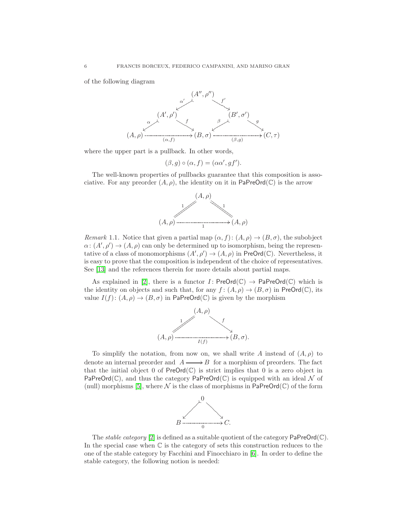of the following diagram



where the upper part is a pullback. In other words,

 $(\beta, g) \circ (\alpha, f) = (\alpha \alpha', gf').$ 

The well-known properties of pullbacks guarantee that this composition is associative. For any preorder  $(A, \rho)$ , the identity on it in PaPreOrd( $\mathbb{C}$ ) is the arrow



Remark 1.1. Notice that given a partial map  $(\alpha, f) : (A, \rho) \to (B, \sigma)$ , the subobject  $\alpha: (A', \rho') \to (A, \rho)$  can only be determined up to isomorphism, being the representative of a class of monomorphisms  $(A', \rho') \to (A, \rho)$  in PreOrd(C). Nevertheless, it is easy to prove that the composition is independent of the choice of representatives. See [\[13\]](#page-21-2) and the references therein for more details about partial maps.

As explained in [\[2\]](#page-20-0), there is a functor  $I:$  PreOrd(C)  $\rightarrow$  PaPreOrd(C) which is the identity on objects and such that, for any  $f : (A, \rho) \to (B, \sigma)$  in PreOrd(C), its value  $I(f)$ :  $(A, \rho) \rightarrow (B, \sigma)$  in PaPreOrd(C) is given by the morphism



To simplify the notation, from now on, we shall write A instead of  $(A, \rho)$  to denote an internal preorder and  $A \longrightarrow B$  for a morphism of preorders. The fact that the initial object  $0$  of  $PreOrd(\mathbb{C})$  is strict implies that  $0$  is a zero object in PaPreOrd( $\mathbb{C}$ ), and thus the category PaPreOrd( $\mathbb{C}$ ) is equipped with an ideal N of (null) morphisms [\[5\]](#page-20-3), where  $\mathcal N$  is the class of morphisms in PaPreOrd(C) of the form



The *stable category* [\[2\]](#page-20-0) is defined as a suitable quotient of the category  $\text{PaPreOrd}(\mathbb{C})$ . In the special case when C is the category of sets this construction reduces to the one of the stable category by Facchini and Finocchiaro in [\[6\]](#page-20-1). In order to define the stable category, the following notion is needed: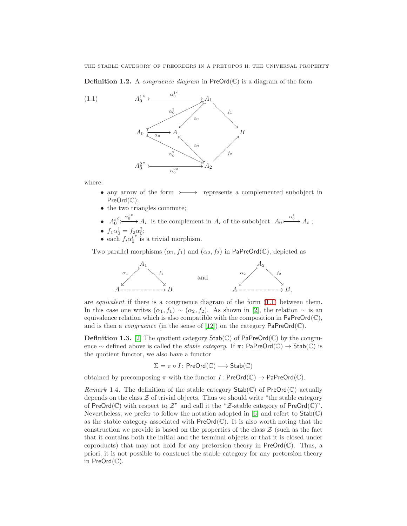THE STABLE CATEGORY OF PREORDERS IN A PRETOPOS II: THE UNIVERSAL PROPERTY

**Definition 1.2.** A *congruence diagram* in  $\text{PreOrd}(\mathbb{C})$  is a diagram of the form

<span id="page-6-0"></span>

where:

- any arrow of the form  $\rightarrow$  represents a complemented subobject in PreOrd(C);
- the two triangles commute;
- $\bullet$   $A_0^i$  $c\searrow^{\alpha_0^{i.c}}$  $A_i$  is the complement in  $A_i$  of the subobject  $A_0 \rightarrow{\alpha_0^i} A_i$ ;

• 
$$
f_1\alpha_0^1 = f_2\alpha_0^2;
$$

•  $f_1 \alpha_0^1 = f_2 \alpha_0^2$ <br>• each  $f_i \alpha_0^{i}$  is  $\epsilon$  is a trivial morphism.

Two parallel morphisms  $(\alpha_1, f_1)$  and  $(\alpha_2, f_2)$  in PaPreOrd(C), depicted as



are *equivalent* if there is a congruence diagram of the form  $(1.1)$  between them. In this case one writes  $(\alpha_1, f_1) \sim (\alpha_2, f_2)$ . As shown in [\[2\]](#page-20-0), the relation  $\sim$  is an equivalence relation which is also compatible with the composition in  $\mathsf{PaPreOrd}(\mathbb{C}),$ and is then a *congruence* (in the sense of [\[12\]](#page-21-3)) on the category  $\text{PaPreOrd}(\mathbb{C})$ .

**Definition 1.3.** [\[2\]](#page-20-0) The quotient category  $\text{Stab}(\mathbb{C})$  of PaPreOrd( $\mathbb{C}$ ) by the congruence ∼ defined above is called the *stable category*. If  $\pi$ : PaPreOrd( $\mathbb{C}$ ) → Stab( $\mathbb{C}$ ) is the quotient functor, we also have a functor

$$
\Sigma = \pi \circ I \colon \mathsf{PreOrd}(\mathbb{C}) \longrightarrow \mathsf{Stab}(\mathbb{C})
$$

obtained by precomposing  $\pi$  with the functor  $I:$  PreOrd( $\mathbb{C}$ )  $\rightarrow$  PaPreOrd( $\mathbb{C}$ ).

Remark 1.4. The definition of the stable category  $\text{Stab}(\mathbb{C})$  of  $\text{PreOrd}(\mathbb{C})$  actually depends on the class  $Z$  of trivial objects. Thus we should write "the stable category" of PreOrd( $\mathbb{C}$ ) with respect to  $\mathcal{Z}$ " and call it the " $\mathcal{Z}\text{-stable category of }\mathsf{PreOrd}(\mathbb{C})$ ". Nevertheless, we prefer to follow the notation adopted in [\[6\]](#page-20-1) and refert to  $\text{Stab}(\mathbb{C})$ as the stable category associated with  $PreOrd(\mathbb{C})$ . It is also worth noting that the construction we provide is based on the properties of the class  $\mathcal Z$  (such as the fact that it contains both the initial and the terminal objects or that it is closed under coproducts) that may not hold for any pretorsion theory in  $PreOrd(\mathbb{C})$ . Thus, a priori, it is not possible to construct the stable category for any pretorsion theory in  $PreOrd(\mathbb{C})$ .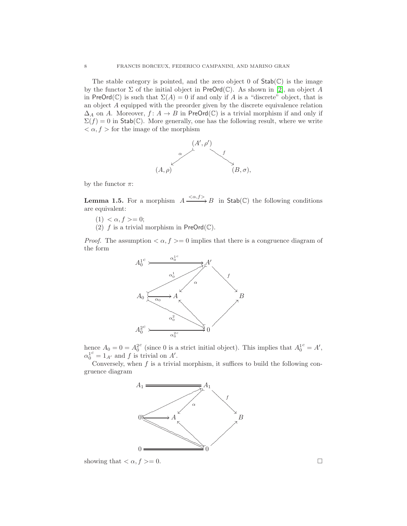The stable category is pointed, and the zero object 0 of  $Stab(\mathbb{C})$  is the image by the functor  $\Sigma$  of the initial object in PreOrd( $\mathbb{C}$ ). As shown in [\[2\]](#page-20-0), an object A in PreOrd( $\mathbb{C}$ ) is such that  $\Sigma(A) = 0$  if and only if A is a "discrete" object, that is an object A equipped with the preorder given by the discrete equivalence relation  $\Delta_A$  on A. Moreover,  $f: A \to B$  in PreOrd(C) is a trivial morphism if and only if  $\Sigma(f) = 0$  in Stab(C). More generally, one has the following result, where we write  $\langle \alpha, f \rangle$  for the image of the morphism



by the functor  $\pi$ :

<span id="page-7-0"></span>**Lemma 1.5.** For a morphism  $A \xrightarrow{\langle \alpha, f \rangle} B$  in  $\mathsf{Stab}(\mathbb{C})$  the following conditions are equivalent:

- $(1) < \alpha, f \geq 0;$
- (2) f is a trivial morphism in  $PreOrd(\mathbb{C})$ .

*Proof.* The assumption  $\langle \alpha, f \rangle = 0$  implies that there is a congruence diagram of the form



hence  $A_0 = 0 = A_0^2$ <sup>c</sup> (since 0 is a strict initial object). This implies that  $A_0^{1c} = A'$ ,  $\alpha_0^{1c} = 1_{A'}$  and f is trivial on A'.

Conversely, when  $f$  is a trivial morphism, it suffices to build the following congruence diagram



showing that  $\langle \alpha, f \rangle = 0$ .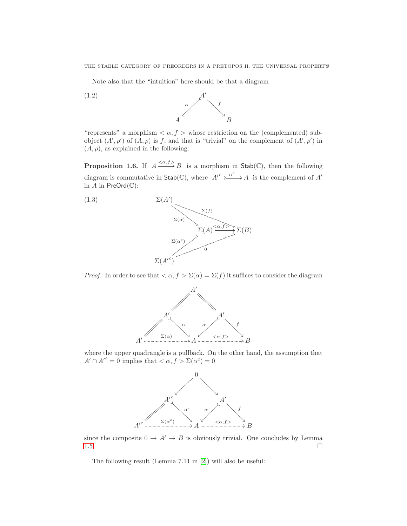<span id="page-8-2"></span>Note also that the "intuition" here should be that a diagram



"represents" a morphism  $\langle \alpha, f \rangle$  whose restriction on the (complemented) subobject  $(A', \rho')$  of  $(A, \rho)$  is f, and that is "trivial" on the complement of  $(A', \rho')$  in  $(A, \rho)$ , as explained in the following:

<span id="page-8-1"></span>**Proposition 1.6.** If  $A \xrightarrow{\langle \alpha, f \rangle} B$  is a morphism in  $\mathsf{Stab}(\mathbb{C})$ , then the following diagram is commutative in  $\mathsf{Stab}(\mathbb{C})$ , where  $A'^c \nightharpoonup^{\alpha^c} A$  is the complement of  $A'$ in  $A$  in PreOrd $(\mathbb{C})$ :

<span id="page-8-0"></span>

*Proof.* In order to see that  $\langle \alpha, f \rangle \Sigma(\alpha) = \Sigma(f)$  it suffices to consider the diagram



where the upper quadrangle is a pullback. On the other hand, the assumption that  $A' \cap A'^c = 0$  implies that  $\langle \alpha, f \rangle \Sigma(\alpha^c) = 0$ 



since the composite  $0 \to A' \to B$  is obviously trivial. One concludes by Lemma [1.5.](#page-7-0)

The following result (Lemma 7.11 in [\[2\]](#page-20-0)) will also be useful: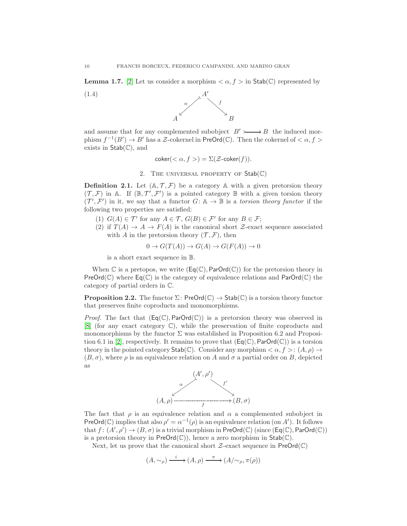<span id="page-9-1"></span>**Lemma 1.7.** [\[2\]](#page-20-0) Let us consider a morphism  $\langle \alpha, f \rangle$  in Stab(C) represented by





and assume that for any complemented subobject  $B' \rightarrow B'$  the induced morphism  $f^{-1}(B') \to B'$  has a Z-cokernel in PreOrd(C). Then the cokernel of  $\langle \alpha, f \rangle$ exists in  $Stab(\mathbb{C})$ , and

<span id="page-9-2"></span>
$$
coker(<\alpha, f>) = \Sigma(\mathcal{Z}\text{-coker}(f)).
$$

2. THE UNIVERSAL PROPERTY OF  $Stab(\mathbb{C})$ 

<span id="page-9-0"></span>**Definition 2.1.** Let  $(A, \mathcal{T}, \mathcal{F})$  be a category A with a given pretorsion theory  $(\mathcal{T}, \mathcal{F})$  in A. If  $(\mathbb{B}, \mathcal{T}', \mathcal{F}')$  is a pointed category  $\mathbb B$  with a given torsion theory  $(\mathcal{T}', \mathcal{F}')$  in it, we say that a functor  $G: A \to \mathbb{B}$  is a torsion theory functor if the following two properties are satisfied:

- (1)  $G(A) \in \mathcal{T}'$  for any  $A \in \mathcal{T}$ ,  $G(B) \in \mathcal{F}'$  for any  $B \in \mathcal{F}$ ;
- (2) if  $T(A) \rightarrow A \rightarrow F(A)$  is the canonical short Z-exact sequence associated with A in the pretorsion theory  $(\mathcal{T}, \mathcal{F})$ , then

$$
0 \to G(T(A)) \to G(A) \to G(F(A)) \to 0
$$

is a short exact sequence in B.

When  $\mathbb C$  is a pretopos, we write  $(\mathsf{Eq}(\mathbb C), \mathsf{ParOrd}(\mathbb C))$  for the pretorsion theory in  $PreOrd(\mathbb{C})$  where  $Eq(\mathbb{C})$  is the category of equivalence relations and  $ParOrd(\mathbb{C})$  the category of partial orders in C.

<span id="page-9-3"></span>**Proposition 2.2.** The functor  $\Sigma$ : PreOrd $(\mathbb{C}) \to$  Stab $(\mathbb{C})$  is a torsion theory functor that preserves finite coproducts and monomorphisms.

*Proof.* The fact that  $(\text{Eq}(\mathbb{C}), \text{ParOrd}(\mathbb{C}))$  is a pretorsion theory was observed in [\[8\]](#page-21-1) (for any exact category C), while the preservation of finite coproducts and monomorphisms by the functor  $\Sigma$  was established in Proposition 6.2 and Proposi-tion 6.1 in [\[2\]](#page-20-0), respectively. It remains to prove that  $(\mathsf{Eq}(\mathbb{C}), \mathsf{ParOrd}(\mathbb{C}))$  is a torsion theory in the pointed category  $\text{Stab}(\mathbb{C})$ . Consider any morphism  $\langle \alpha, f \rangle : (A, \rho) \to$  $(B, \sigma)$ , where  $\rho$  is an equivalence relation on A and  $\sigma$  a partial order on B, depicted as



The fact that  $\rho$  is an equivalence relation and  $\alpha$  a complemented subobject in PreOrd(C) implies that also  $\rho' = \alpha^{-1}(\rho)$  is an equivalence relation (on A'). It follows that  $f:(A',\rho')\to (B,\sigma)$  is a trivial morphism in  $\mathsf{PreOrd}(\mathbb{C})$  (since  $(\mathsf{Eq}(\mathbb{C}),\mathsf{ParOrd}(\mathbb{C}))$ is a pretorsion theory in  $PreOrd(\mathbb{C})$ , hence a zero morphism in  $Stab(\mathbb{C})$ .

Next, let us prove that the canonical short  $\mathcal{Z}$ -exact sequence in PreOrd(C)

 $(A, \sim_\rho) \xrightarrow{i} (A, \rho) \xrightarrow{\pi} (A/\sim_\rho, \pi(\rho))$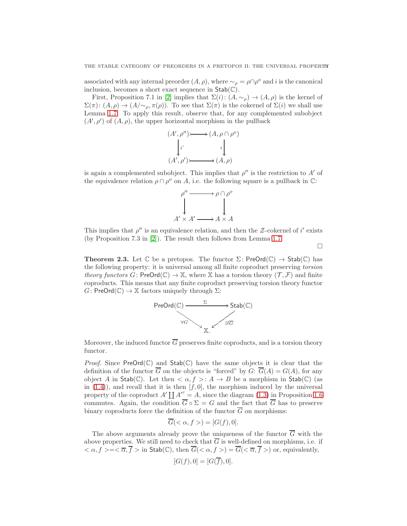associated with any internal preorder  $(A, \rho)$ , where  $\sim_{\rho} = \rho \cap \rho^{\circ}$  and *i* is the canonical inclusion, becomes a short exact sequence in  $Stab(\mathbb{C})$ .

First, Proposition 7.1 in [\[2\]](#page-20-0) implies that  $\Sigma(i)$ :  $(A, \sim_{\rho}) \rightarrow (A, \rho)$  is the kernel of  $\Sigma(\pi): (A, \rho) \to (A/\sim_{\rho}, \pi(\rho)).$  To see that  $\Sigma(\pi)$  is the cokernel of  $\Sigma(i)$  we shall use Lemma [1.7.](#page-9-1) To apply this result, observe that, for any complemented subobject  $(A', \rho')$  of  $(A, \rho)$ , the upper horizontal morphism in the pullback

$$
(A', \rho'') \rightarrow (A, \rho \cap \rho^o)
$$
  
\n
$$
\downarrow i'
$$
  
\n
$$
(A', \rho') \rightarrow (A, \rho)
$$

is again a complemented subobject. This implies that  $\rho''$  is the restriction to A' of the equivalence relation  $\rho \cap \rho^o$  on A, i.e. the following square is a pullback in  $\mathbb{C}$ :

$$
\rho'' \longrightarrow \rho \cap \rho^o
$$
  
\n
$$
\downarrow \qquad \qquad \downarrow
$$
  
\n
$$
A' \times A' \longrightarrow A \times A
$$

This implies that  $\rho''$  is an equivalence relation, and then the Z-cokernel of i' exists (by Proposition 7.3 in [\[2\]](#page-20-0)). The result then follows from Lemma [1.7.](#page-9-1)

 $\Box$ 

<span id="page-10-0"></span>**Theorem 2.3.** Let  $\mathbb C$  be a pretopos. The functor  $\Sigma$ : PreOrd $(\mathbb C) \to \text{Stab}(\mathbb C)$  has the following property: it is universal among all finite coproduct preserving torsion theory functors G: PreOrd( $\mathbb{C}$ )  $\to \mathbb{X}$ , where  $\mathbb{X}$  has a torsion theory  $(\mathcal{T}, \mathcal{F})$  and finite coproducts. This means that any finite coproduct preserving torsion theory functor  $G:$  PreOrd( $\mathbb{C}$ )  $\rightarrow \mathbb{X}$  factors uniquely through  $\Sigma$ :



Moreover, the induced functor  $\overline{G}$  preserves finite coproducts, and is a torsion theory functor.

*Proof.* Since PreOrd( $\mathbb{C}$ ) and Stab( $\mathbb{C}$ ) have the same objects it is clear that the definition of the functor  $\overline{G}$  on the objects is "forced" by  $G: \overline{G}(A) = G(A)$ , for any object A in Stab(C). Let then  $\langle \alpha, f \rangle : A \to B$  be a morphism in Stab(C) (as in  $(1.4)$ , and recall that it is then  $[f, 0]$ , the morphism induced by the universal property of the coproduct  $A' \coprod A'^c = A$ , since the diagram [\(1.3\)](#page-8-0) in Proposition [1.6](#page-8-1) commutes. Again, the condition  $\overline{G} \circ \Sigma = G$  and the fact that  $\overline{G}$  has to preserve binary coproducts force the definition of the functor  $\overline{G}$  on morphisms:

$$
G(<\alpha, f>) = [G(f), 0].
$$

The above arguments already prove the uniqueness of the functor  $\overline{G}$  with the above properties. We still need to check that  $\overline{G}$  is well-defined on morphisms, i.e. if  $\langle \alpha, f \rangle = \langle \overline{\alpha}, \overline{f} \rangle$  in Stab(C), then  $\overline{G}(\langle \alpha, f \rangle) = \overline{G}(\langle \overline{\alpha}, \overline{f} \rangle)$  or, equivalently,

$$
[G(f), 0] = [G(f), 0].
$$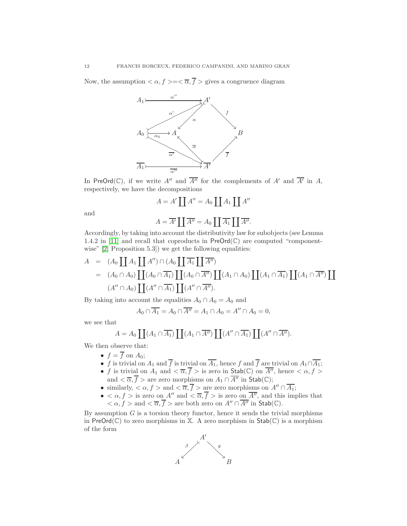Now, the assumption  $\langle \alpha, f \rangle = \langle \overline{\alpha}, \overline{f} \rangle$  gives a congruence diagram



In PreOrd(C), if we write A'' and  $\overline{A''}$  for the complements of A' and  $\overline{A'}$  in A, respectively, we have the decompositions

$$
A = A' \coprod A'' = A_0 \coprod A_1 \coprod A''
$$

and

$$
A = \overline{A'} \coprod \overline{A''} = A_0 \coprod \overline{A_1} \coprod \overline{A''}.
$$

Accordingly, by taking into account the distributivity law for subobjects (see Lemma 1.4.2 in [\[11\]](#page-21-0) and recall that coproducts in  $PreOrd(\mathbb{C})$  are computed "component-wise" [\[2,](#page-20-0) Proposition 5.3]) we get the following equalities:

$$
A = (A_0 \coprod A_1 \coprod A'') \cap (A_0 \coprod \overline{A_1} \coprod \overline{A''})
$$
  
= 
$$
(A_0 \cap A_0) \coprod (A_0 \cap \overline{A_1}) \coprod (A_0 \cap \overline{A''}) \coprod (A_1 \cap A_0) \coprod (A_1 \cap \overline{A_1}) \coprod (A_1 \cap \overline{A''}) \coprod (A'' \cap A_0) \coprod (A'' \cap \overline{A''}).
$$

By taking into account the equalities  $A_0 \cap A_0 = A_0$  and

$$
A_0 \cap \overline{A_1} = A_0 \cap \overline{A''} = A_1 \cap A_0 = A'' \cap A_0 = 0,
$$

we see that

$$
A = A_0 \coprod (A_1 \cap \overline{A_1}) \coprod (A_1 \cap \overline{A''}) \coprod (A'' \cap \overline{A_1}) \coprod (A'' \cap \overline{A''}).
$$

We then observe that:

- $f = \overline{f}$  on  $A_0$ ;
- f is trivial on  $A_1$  and f is trivial on  $A_1$ , hence f and f are trivial on  $A_1 \cap A_1$ ;
- f is trivial on  $A_1$  and  $\langle \overline{\alpha}, \overline{f} \rangle$  is zero in  $\mathsf{Stab}(\mathbb{C})$  on  $\overline{A''}$ , hence  $\langle \alpha, f \rangle$ and  $\langle \overline{\alpha}, \overline{f} \rangle$  are zero morphisms on  $A_1 \cap \overline{A''}$  in Stab(C);
- similarly,  $<\alpha, f>$  and  $<\overline{\alpha}, \overline{f}>$  are zero morphisms on  $A'' \cap \overline{A_1}$ ;
- $\bullet < \alpha, f > \text{is zero on } A'' \text{ and } < \overline{\alpha}, \overline{f} > \text{is zero on } \overline{A''}, \text{ and this implies that}$  $<\alpha, f>\text{and} <\overline{\alpha}, \overline{f}>\text{are both zero on } A'' \cap \overline{A''} \text{ in } \mathsf{Stab}(\mathbb{C}).$

By assumption  $G$  is a torsion theory functor, hence it sends the trivial morphisms in  $PreOrd(\mathbb{C})$  to zero morphisms in X. A zero morphism in  $Stab(\mathbb{C})$  is a morphism of the form

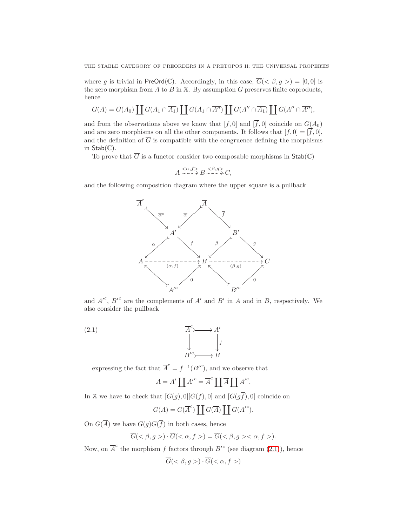where g is trivial in PreOrd(C). Accordingly, in this case,  $\overline{G}( $\beta, g>$  = [0,0] is$ the zero morphism from  $A$  to  $B$  in  $X$ . By assumption  $G$  preserves finite coproducts, hence

$$
G(A) = G(A_0) \coprod G(A_1 \cap \overline{A_1}) \coprod G(A_1 \cap \overline{A''}) \coprod G(A'' \cap \overline{A_1}) \coprod G(A'' \cap \overline{A''}),
$$

and from the observations above we know that  $[f, 0]$  and  $[\overline{f}, 0]$  coincide on  $G(A_0)$ and are zero morphisms on all the other components. It follows that  $[f, 0] = [\overline{f}, 0],$ and the definition of  $\overline{G}$  is compatible with the congruence defining the morphisms in  $Stab(\mathbb{C})$ .

To prove that  $\overline{G}$  is a functor consider two composable morphisms in  $\text{Stab}(\mathbb{C})$ 

$$
A \xrightarrow{\langle \alpha, f \rangle} B \xrightarrow{\langle \beta, g \rangle} C,
$$

and the following composition diagram where the upper square is a pullback



and  $A^{\prime c}$ ,  $B^{\prime c}$  are the complements of  $A'$  and  $B'$  in  $A$  and in  $B$ , respectively. We also consider the pullback

(2.1) 
$$
\begin{array}{ccc}\nA^c & & A' \\
& \downarrow & & \downarrow \\
B'^c & & B\n\end{array}
$$

expressing the fact that  $\overline{A}^c = f^{-1}(B'^c)$ , and we observe that

<span id="page-12-0"></span>
$$
A = A' \coprod {A'}^c = \overline{A}^c \coprod \overline{A} \coprod {A'}^c.
$$

In X we have to check that  $[G(g), 0][G(f), 0]$  and  $[G(g\overline{f}), 0]$  coincide on

$$
G(A) = G(\overline{A}^c) \coprod G(\overline{A}) \coprod G({A'}^c).
$$

On  $G(\overline{A})$  we have  $G(g)G(\overline{f})$  in both cases, hence

$$
\overline{G}(\langle \beta, g \rangle) \cdot \overline{G}(\langle \alpha, f \rangle) = \overline{G}(\langle \beta, g \rangle \langle \alpha, f \rangle).
$$

Now, on  $\overline{A}^c$  the morphism f factors through  $B^{\prime c}$  (see diagram [\(2.1\)](#page-12-0)), hence

$$
\overline{G}(<\beta, g>) \cdot \overline{G}(<\alpha, f>)
$$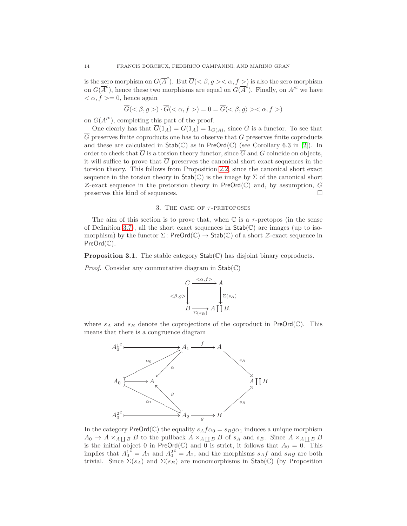is the zero morphism on  $G(\overline{A}^c)$ . But  $\overline{G}<\beta, g>\alpha, f>$  is also the zero morphism on  $G(\overline{A}^c)$ , hence these two morphisms are equal on  $G(\overline{A}^c)$ . Finally, on  $A'^c$  we have  $\langle \alpha, f \rangle = 0$ , hence again

$$
\overline{G}(<\beta, g>)\cdot \overline{G}(<\alpha, f>)=0=\overline{G}(<\beta, g)><\alpha, f>)
$$

on  $G(A^{\prime c})$ , completing this part of the proof.

One clearly has that  $G(1_A) = G(1_A) = 1_{G(A)}$ , since G is a functor. To see that  $\overline{G}$  preserves finite coproducts one has to observe that G preserves finite coproducts and these are calculated in  $\text{Stab}(\mathbb{C})$  as in PreOrd( $\mathbb{C}$ ) (see Corollary 6.3 in [\[2\]](#page-20-0)). In order to check that  $\overline{G}$  is a torsion theory functor, since  $\overline{G}$  and G coincide on objects, it will suffice to prove that  $\overline{G}$  preserves the canonical short exact sequences in the torsion theory. This follows from Proposition [2.2,](#page-9-3) since the canonical short exact sequence in the torsion theory in  $\text{Stab}(\mathbb{C})$  is the image by  $\Sigma$  of the canonical short  $Z$ -exact sequence in the pretorsion theory in PreOrd(C) and, by assumption, G preserves this kind of sequences.

## 3. THE CASE OF  $\tau$ -PRETOPOSES

The aim of this section is to prove that, when  $\mathbb C$  is a  $\tau$ -pretopos (in the sense of Definition [3.7\)](#page-18-0), all the short exact sequences in  $\text{Stab}(\mathbb{C})$  are images (up to isomorphism) by the functor  $\Sigma$ : PreOrd( $\mathbb{C}$ )  $\rightarrow$  Stab( $\mathbb{C}$ ) of a short  $\mathcal{Z}$ -exact sequence in PreOrd( $\mathbb{C}$ ).

**Proposition 3.1.** The stable category  $\text{Stab}(\mathbb{C})$  has disjoint binary coproducts.

*Proof.* Consider any commutative diagram in  $Stab(\mathbb{C})$ 



where  $s_A$  and  $s_B$  denote the coprojections of the coproduct in PreOrd( $\mathbb{C}$ ). This means that there is a congruence diagram



In the category  $\mathsf{PreOrd}(\mathbb{C})$  the equality  $s_Af\alpha_0=s_Bg\alpha_1$  induces a unique morphism  $A_0 \to A \times_{A\coprod B} B$  to the pullback  $A \times_{A\coprod B} B$  of  $s_A$  and  $s_B$ . Since  $A \times_{A\coprod B} B$ is the initial object 0 in PreOrd(C) and  $\overrightarrow{0}$  is strict, it follows that  $A_0 = 0$ . This implies that  $A_0^{i\ell} = A_1$  and  $A_0^{i\ell} = A_2$ , and the morphisms  $s_A f$  and  $s_B g$  are both trivial. Since  $\Sigma(s_A)$  and  $\Sigma(s_B)$  are monomorphisms in Stab(C) (by Proposition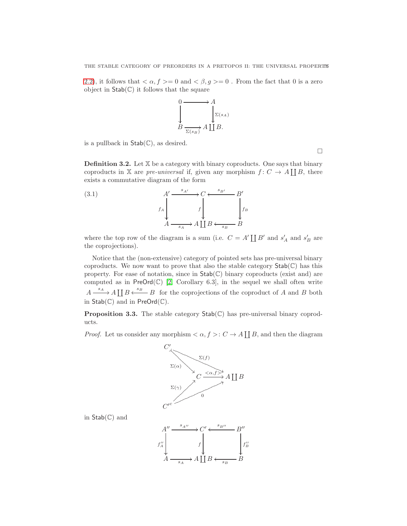[2.2\)](#page-9-3), it follows that  $\langle \alpha, f \rangle = 0$  and  $\langle \beta, g \rangle = 0$ . From the fact that 0 is a zero object in  $\mathsf{Stab}(\mathbb{C})$  it follows that the square



is a pullback in  $Stab(\mathbb{C})$ , as desired.

<span id="page-14-0"></span>**Definition 3.2.** Let  $X$  be a category with binary coproducts. One says that binary coproducts in X are *pre-universal* if, given any morphism  $f: C \to A \coprod B$ , there exists a commutative diagram of the form

(3.1) 
$$
A' \xrightarrow{s_{A'} \to C} \xleftarrow{s_{B'} \to B'}
$$

$$
f_A \xrightarrow{f_A \to A \coprod B \xleftarrow{s_B \to B} B}
$$

 $f''_A$ Ļ

where the top row of the diagram is a sum (i.e.  $C = A' \coprod B'$  and  $s'_{A}$  and  $s'_{B}$  are the coprojections).

Notice that the (non-extensive) category of pointed sets has pre-universal binary coproducts. We now want to prove that also the stable category  $\text{Stab}(\mathbb{C})$  has this property. For ease of notation, since in Stab(C) binary coproducts (exist and) are computed as in  $PreOrd(\mathbb{C})$  [\[2,](#page-20-0) Corollary 6.3], in the sequel we shall often write  $A \xrightarrow{s_A} A \coprod B \xleftarrow{s_B} B$  for the coprojections of the coproduct of A and B both in  $Stab(\mathbb{C})$  and in  $PreOrd(\mathbb{C})$ .

<span id="page-14-1"></span>**Proposition 3.3.** The stable category  $\text{Stab}(\mathbb{C})$  has pre-universal binary coproducts.

*Proof.* Let us consider any morphism  $\langle \alpha, f \rangle : C \to A \coprod B$ , and then the diagram



in  $Stab(\mathbb{C})$  and



 $\Box$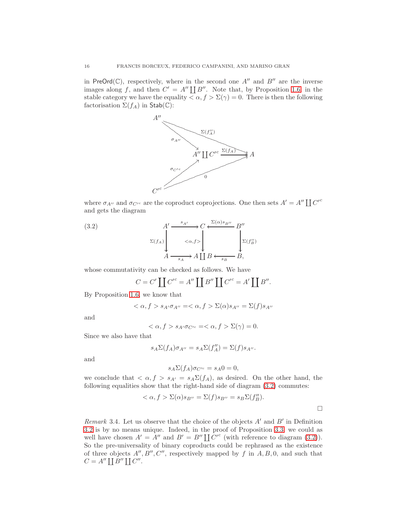in PreOrd( $\mathbb{C}$ ), respectively, where in the second one  $A''$  and  $B''$  are the inverse images along f, and then  $C' = A'' \coprod B''$ . Note that, by Proposition [1.6,](#page-8-1) in the stable category we have the equality  $\langle \alpha, f \rangle \Sigma(\gamma) = 0$ . There is then the following factorisation  $\Sigma(f_A)$  in Stab(C):



where  $\sigma_{A''}$  and  $\sigma_{C'^c}$  are the coproduct coprojections. One then sets  $A' = A'' \coprod C'^c$ and gets the diagram

(3.2) A′ sA′ Σ(fA) C <α,f> <sup>B</sup>′′ Σ(α)sB′′ o Σ(f ′′ <sup>B</sup>) A <sup>s</sup><sup>A</sup> /A ` B B, sB o

whose commutativity can be checked as follows. We have

<span id="page-15-0"></span>
$$
C = C' \coprod C'^c = A'' \coprod B'' \coprod C'^c = A' \coprod B''.
$$

By Proposition [1.6,](#page-8-1) we know that

$$
\langle \alpha, f \rangle s_{A'} \sigma_{A''} = \langle \alpha, f \rangle \sum (\alpha) s_{A''} = \sum (f) s_{A''}
$$

and

$$
\langle \alpha, f \rangle s_{A'} \sigma_{C'^c} = \langle \alpha, f \rangle \Sigma(\gamma) = 0.
$$

Since we also have that

$$
s_A \Sigma(f_A)\sigma_{A''} = s_A \Sigma(f''_A) = \Sigma(f)s_{A''}.
$$

and

$$
s_A \Sigma(f_A) \sigma_{C'^c} = s_A 0 = 0,
$$

we conclude that  $\langle \alpha, f \rangle s_{A'} = s_A \Sigma(f_A)$ , as desired. On the other hand, the following equalities show that the right-hand side of diagram [\(3.2\)](#page-15-0) commutes:

$$
<\alpha, f > \Sigma(\alpha)s_{B''} = \Sigma(f)s_{B''} = s_B\Sigma(f''_B).
$$

Remark 3.4. Let us observe that the choice of the objects  $A'$  and  $B'$  in Definition [3.2](#page-14-0) is by no means unique. Indeed, in the proof of Proposition [3.3,](#page-14-1) we could as well have chosen  $A' = A''$  and  $B' = B'' \coprod C'^c$  (with reference to diagram [\(3.2\)](#page-15-0)). So the pre-universality of binary coproducts could be rephrased as the existence of three objects  $A'', B'', C''$ , respectively mapped by f in  $A, B, 0$ , and such that  $C = A'' \coprod B'' \coprod C''$ .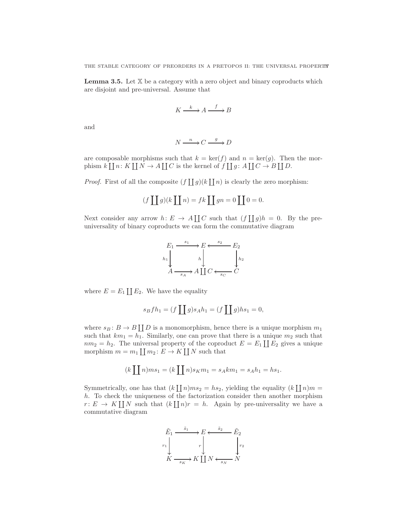THE STABLE CATEGORY OF PREORDERS IN A PRETOPOS II: THE UNIVERSAL PROPERTY

<span id="page-16-0"></span>**Lemma 3.5.** Let  $X$  be a category with a zero object and binary coproducts which are disjoint and pre-universal. Assume that

$$
K \xrightarrow{k} A \xrightarrow{f} B
$$

and

$$
N \xrightarrow{n} C \xrightarrow{g} D
$$

are composable morphisms such that  $k = \text{ker}(f)$  and  $n = \text{ker}(g)$ . Then the morphism  $k \coprod n: K \coprod N \to A \coprod C$  is the kernel of  $f \coprod g: A \coprod C \to B \coprod D$ .

*Proof.* First of all the composite  $(f \coprod g)(k \coprod n)$  is clearly the zero morphism:

$$
(f \coprod g)(k \coprod n) = fk \coprod gn = 0 \coprod 0 = 0.
$$

Next consider any arrow  $h: E \to A \coprod C$  such that  $(f \coprod g)h = 0$ . By the preuniversality of binary coproducts we can form the commutative diagram



where  $E = E_1 \coprod E_2$ . We have the equality

$$
s_B f h_1 = (f \coprod g) s_A h_1 = (f \coprod g) h s_1 = 0,
$$

where  $s_B: B \to B \coprod D$  is a monomorphism, hence there is a unique morphism  $m_1$ such that  $km_1 = h_1$ . Similarly, one can prove that there is a unique  $m_2$  such that  $nm_2 = h_2$ . The universal property of the coproduct  $E = E_1 \coprod E_2$  gives a unique morphism  $m = m_1 \coprod m_2 : E \to K \coprod N$  such that

$$
(k \coprod n) ms_1 = (k \coprod n) s_K m_1 = s_A k m_1 = s_A h_1 = h s_1.
$$

Symmetrically, one has that  $(k \prod n)ms_2 = hs_2$ , yielding the equality  $(k \prod n)m =$ h. To check the uniqueness of the factorization consider then another morphism  $r: E \to K \coprod N$  such that  $(k \coprod n)r = h$ . Again by pre-universality we have a commutative diagram

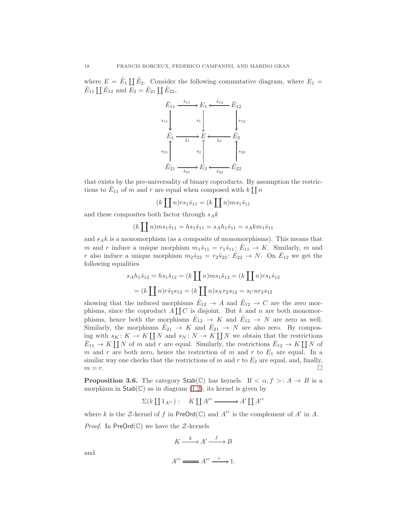where  $E = \tilde{E}_1 \coprod \tilde{E}_2$ . Consider the following commutative diagram, where  $E_1 =$  $\hat{E}_{11} \coprod \hat{E}_{12}$  and  $E_2 = \hat{E}_{21} \coprod \hat{E}_{22}$ ,



that exists by the pre-universality of binary coproducts. By assumption the restrictions to  $\hat{E}_{11}$  of m and r are equal when composed with  $k \coprod n$ 

$$
(k \coprod n)rs_1\hat{s}_{11} = (k \coprod n)ms_1\hat{s}_{11}
$$

and these composites both factor through  $s_A k$ 

$$
(k \coprod n) ms_1 \hat{s}_{11} = hs_1 \hat{s}_{11} = s_A h_1 \hat{s}_{11} = s_A km_1 \hat{s}_{11}
$$

and  $s_A k$  is a monomorphism (as a composite of monomorphisms). This means that m and r induce a unique morphism  $m_1 \hat{s}_{11} = r_1 \hat{s}_{11}$ :  $\hat{E}_{11} \to K$ . Similarly, m and r also induce a unique morphism  $m_2 \hat{s}_{22} = r_2 \hat{s}_{22}$ :  $\hat{E}_{22} \to N$ . On  $\hat{E}_{12}$  we get the following equalities

$$
s_A h_1 \hat{s}_{12} = h s_1 \hat{s}_{12} = (k \coprod n) m s_1 \hat{s}_{12} = (k \coprod n) r s_1 \hat{s}_{12}
$$

$$
= (k \coprod n) r \tilde{s}_2 s_{12} = (k \coprod n) s_N r_2 s_{12} = s_C n r_2 s_{12}
$$

showing that the induced morphisms  $\hat{E}_{12} \to A$  and  $\hat{E}_{12} \to C$  are the zero morphisms, since the coproduct  $A[[C_{\infty}$  is disjoint. But k and n are both monomorphisms, hence both the morphisms  $\hat{E}_{12} \to K$  and  $\hat{E}_{12} \to N$  are zero as well. Similarly, the morphisms  $\hat{E}_{21} \to K$  and  $\hat{E}_{21} \to N$  are also zero. By composing with  $s_K: K \to K \coprod N$  and  $s_N: N \to K \coprod N$  we obtain that the restrictions  $\hat{E}_{11} \to K \coprod N$  of m and r are equal. Similarly, the restrictions  $\hat{E}_{12} \to K \coprod N$  of m and r are both zero, hence the restriction of m and r to  $E_1$  are equal. In a similar way one checks that the restrictions of  $m$  and  $r$  to  $E_2$  are equal, and, finally,  $m = r$ .

<span id="page-17-0"></span>**Proposition 3.6.** The category  $\text{Stab}(\mathbb{C})$  has kernels. If  $\lt \alpha, f > A \to B$  is a morphism in  $\text{Stab}(\mathbb{C})$  as in diagram  $(1.2)$ , its kernel is given by

 $\Sigma(k \coprod 1_{A'^c}) : K \coprod A'^c \longrightarrow A' \coprod A'^c$ 

where k is the Z-kernel of f in  $PreOrd(\mathbb{C})$  and  $A'^c$  is the complement of  $A'$  in A. *Proof.* In  $PreOrd(\mathbb{C})$  we have the  $\mathcal{Z}\text{-kernels}$ 

$$
K \xrightarrow{k} A' \xrightarrow{f} B
$$

and

$$
A^{\prime c} \longrightarrow A^{\prime c} \longrightarrow 1.
$$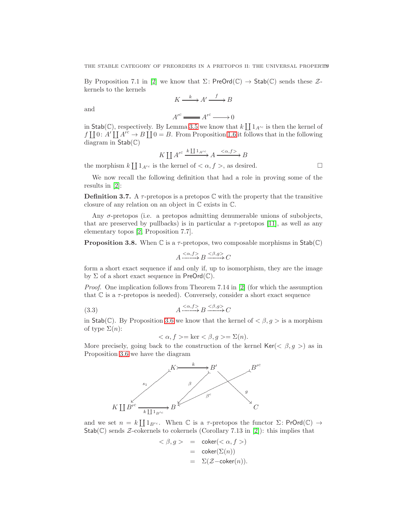By Proposition 7.1 in [\[2\]](#page-20-0) we know that  $\Sigma$ : PreOrd(C)  $\rightarrow$  Stab(C) sends these  $\mathcal{Z}$ kernels to the kernels

$$
K \xrightarrow{k} A' \xrightarrow{f} B
$$

and

results in [\[2\]](#page-20-0):

 $A'^c \longrightarrow A'^c \longrightarrow 0$ 

in Stab(C), respectively. By Lemma [3.5](#page-16-0) we know that  $k \coprod 1_{A'^c}$  is then the kernel of  $f \coprod 0: A' \coprod A'^c \to B \coprod 0 = B$ . From Proposition [1.6](#page-8-1) it follows that in the following diagram in Stab(C)

$$
K \coprod A'^c \xrightarrow{k \coprod 1_{A'^c}} A \xrightarrow{\langle \alpha, f \rangle} B
$$

the morphism  $k \coprod 1_{A'^c}$  is the kernel of  $\langle \alpha, f \rangle$ , as desired.

We now recall the following definition that had a role in proving some of the

<span id="page-18-0"></span>**Definition 3.7.** A  $\tau$ -pretopos is a pretopos  $\mathbb C$  with the property that the transitive closure of any relation on an object in C exists in C.

Any  $\sigma$ -pretopos (i.e. a pretopos admitting denumerable unions of subobjects, that are preserved by pullbacks) is in particular a  $\tau$ -pretopos [\[11\]](#page-21-0), as well as any elementary topos [\[2,](#page-20-0) Proposition 7.7].

<span id="page-18-2"></span>**Proposition 3.8.** When  $\mathbb C$  is a  $\tau$ -pretopos, two composable morphisms in  $\mathsf{Stab}(\mathbb C)$ 

$$
A \xrightarrow{\langle \alpha, f \rangle} B \xrightarrow{\langle \beta, g \rangle} C
$$

form a short exact sequence if and only if, up to isomorphism, they are the image by  $\Sigma$  of a short exact sequence in  $PreOrd(\mathbb{C})$ .

Proof. One implication follows from Theorem 7.14 in [\[2\]](#page-20-0) (for which the assumption that  $\mathbb C$  is a  $\tau$ -pretopos is needed). Conversely, consider a short exact sequence

$$
(3.3) \quad A \xrightarrow{\langle \alpha, f \rangle} B \xrightarrow{\langle \beta, g \rangle} C
$$

in Stab(C). By Proposition [3.6](#page-17-0) we know that the kernel of  $\langle \beta, g \rangle$  is a morphism of type  $\Sigma(n)$ :

<span id="page-18-1"></span>
$$
\langle \alpha, f \rangle = \ker \langle \beta, g \rangle = \Sigma(n).
$$

More precisely, going back to the construction of the kernel  $\text{Ker}(<\beta, g>)$  as in Proposition [3.6](#page-17-0) we have the diagram



and we set  $n = k \coprod 1_{B'}c$ . When C is a  $\tau$ -pretopos the functor  $\Sigma$ : PrOrd(C)  $\to$  $Stab(\mathbb{C})$  sends  $\mathcal Z$ -cokernels to cokernels (Corollary 7.13 in [\[2\]](#page-20-0)): this implies that

$$
\begin{array}{rcl} <\beta, g> & = & \mathsf{coker}(<\alpha, f>) \\ & = & \mathsf{coker}(\Sigma(n)) \\ & = & \Sigma(\mathcal{Z}-\mathsf{coker}(n)). \end{array}
$$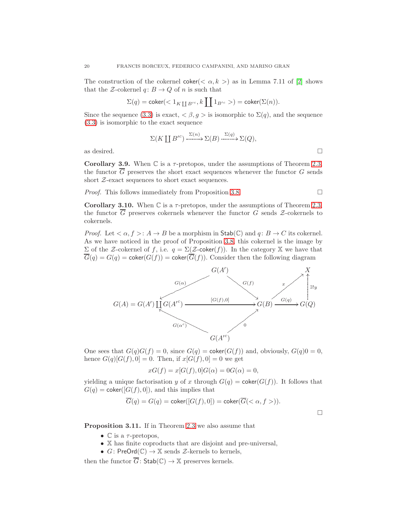The construction of the cokernel coker( $\langle \alpha, k \rangle$ ) as in Lemma 7.11 of [\[2\]](#page-20-0) shows that the *Z*-cokernel  $q: B \to Q$  of *n* is such that

$$
\Sigma(q) = \mathsf{coker}(<1_{K\coprod B'^c}, k\coprod 1_{B'^c}>)=\mathsf{coker}(\Sigma(n)).
$$

Since the sequence [\(3.3\)](#page-18-1) is exact,  $\langle \beta, g \rangle$  is isomorphic to  $\Sigma(q)$ , and the sequence [\(3.3\)](#page-18-1) is isomorphic to the exact sequence

$$
\Sigma(K \coprod B'^c) \xrightarrow{\Sigma(n)} \Sigma(B) \xrightarrow{\Sigma(q)} \Sigma(Q),
$$
 as desired.  $\square$ 

Corollary 3.9. When  $\mathbb C$  is a  $\tau$ -pretopos, under the assumptions of Theorem [2.3,](#page-10-0) the functor  $\overline{G}$  preserves the short exact sequences whenever the functor  $G$  sends short  $Z$ -exact sequences to short exact sequences.

*Proof.* This follows immediately from Proposition [3.8.](#page-18-2)  $\Box$ 

Corollary 3.10. When  $\mathbb C$  is a  $\tau$ -pretopos, under the assumptions of Theorem [2.3,](#page-10-0) the functor  $\overline{G}$  preserves cokernels whenever the functor G sends Z-cokernels to cokernels.

*Proof.* Let  $\langle \alpha, f \rangle : A \to B$  be a morphism in  $\text{Stab}(\mathbb{C})$  and  $q: B \to C$  its cokernel. As we have noticed in the proof of Proposition [3.8,](#page-18-2) this cokernel is the image by Σ of the *Z*-cokernel of f, i.e.  $q = Σ(Z$ -coker(f)). In the category *X* we have that  $\overline{G}(q) = G(q) = \text{coker}(G(f)) = \text{coker}(\overline{G}(f)).$  Consider then the following diagram



One sees that  $G(q)G(f) = 0$ , since  $G(q) = \text{coker}(G(f))$  and, obviously,  $G(q)0 = 0$ , hence  $G(q)[G(f), 0] = 0$ . Then, if  $x[G(f), 0] = 0$  we get

$$
xG(f) = x[G(f), 0]G(\alpha) = 0G(\alpha) = 0,
$$

yielding a unique factorisation y of x through  $G(q) = \text{coker}(G(f))$ . It follows that  $G(q) = \text{coker}([G(f), 0])$ , and this implies that

$$
\overline{G}(q) = G(q) = \text{coker}([G(f), 0]) = \text{coker}(\overline{G}(< \alpha, f>)).
$$

 $\Box$ 

Proposition 3.11. If in Theorem [2.3](#page-10-0) we also assume that

- $\mathbb C$  is a  $\tau$ -pretopos,
- X has finite coproducts that are disjoint and pre-universal,
- $G:$  PreOrd $(\mathbb{C}) \to \mathbb{X}$  sends  $\mathcal{Z}$ -kernels to kernels,

then the functor  $\overline{G}$ : Stab $(\mathbb{C}) \to \mathbb{X}$  preserves kernels.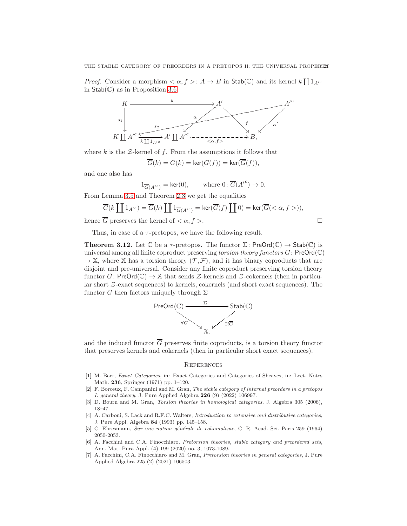*Proof.* Consider a morphism  $\langle \alpha, f \rangle : A \to B$  in  $\text{Stab}(\mathbb{C})$  and its kernel  $k \coprod 1_{A'^c}$ in  $Stab(\mathbb{C})$  as in Proposition [3.6](#page-17-0)



where  $k$  is the  $\mathcal{Z}\text{-}{\rm kernel}$  of  $f$ . From the assumptions it follows that

 $\overline{G}(k) = G(k) = \text{ker}(G(f)) = \text{ker}(\overline{G}(f)),$ 

and one also has

$$
1_{\overline{G}(A'^c)} = \ker(0), \qquad \text{where } 0 \colon \overline{G}(A'^c) \to 0.
$$

From Lemma [3.5](#page-16-0) and Theorem [2.3](#page-10-0) we get the equalities

$$
\overline{G}(k \coprod 1_{A'^c}) = \overline{G}(k) \coprod 1_{\overline{G}(A'^c)} = \ker(\overline{G}(f) \coprod 0) = \ker(\overline{G}(< \alpha, f>)),
$$

hence G preserves the kernel of  $\langle \alpha, f \rangle$ .

$$
\qquad \qquad \Box
$$

Thus, in case of a  $\tau$ -pretopos, we have the following result.

<span id="page-20-4"></span>**Theorem 3.12.** Let  $\mathbb C$  be a  $\tau$ -pretopos. The functor  $\Sigma$ : PreOrd $(\mathbb C) \to$  Stab $(\mathbb C)$  is universal among all finite coproduct preserving torsion theory functors  $G$ : PreOrd( $\mathbb{C}$ )  $\rightarrow \mathbb{X}$ , where X has a torsion theory  $(\mathcal{T}, \mathcal{F})$ , and it has binary coproducts that are disjoint and pre-universal. Consider any finite coproduct preserving torsion theory functor G: PreOrd( $\mathbb{C}$ )  $\to \mathbb{X}$  that sends  $\mathcal{Z}$ -kernels and  $\mathcal{Z}$ -cokernels (then in particular short Z-exact sequences) to kernels, cokernels (and short exact sequences). The functor G then factors uniquely through  $\Sigma$ 



and the induced functor  $\overline{G}$  preserves finite coproducts, is a torsion theory functor that preserves kernels and cokernels (then in particular short exact sequences).

### **REFERENCES**

- <span id="page-20-5"></span>[1] M. Barr, Exact Categories, in: Exact Categories and Categories of Sheaves, in: Lect. Notes Math. 236, Springer (1971) pp. 1–120.
- <span id="page-20-0"></span>[2] F. Borceux, F. Campanini and M. Gran, The stable category of internal preorders in a pretopos I: general theory, J. Pure Applied Algebra 226 (9) (2022) 106997.
- [3] D. Bourn and M. Gran, Torsion theories in homological categories, J. Algebra 305 (2006), 18–47.
- <span id="page-20-6"></span>[4] A. Carboni, S. Lack and R.F.C. Walters, *Introduction to extensive and distributive categories*, J. Pure Appl. Algebra 84 (1993) pp. 145–158.
- <span id="page-20-3"></span>[5] C. Ehresmann, Sur une notion générale de cohomologie, C. R. Acad. Sci. Paris 259 (1964) 2050-2053.
- <span id="page-20-1"></span>[6] A. Facchini and C.A. Finocchiaro, Pretorsion theories, stable category and preordered sets, Ann. Mat. Pura Appl. (4) 199 (2020) no. 3, 1073-1089.
- <span id="page-20-2"></span>[7] A. Facchini, C.A. Finocchiaro and M. Gran, Pretorsion theories in general categories, J. Pure Applied Algebra 225 (2) (2021) 106503.